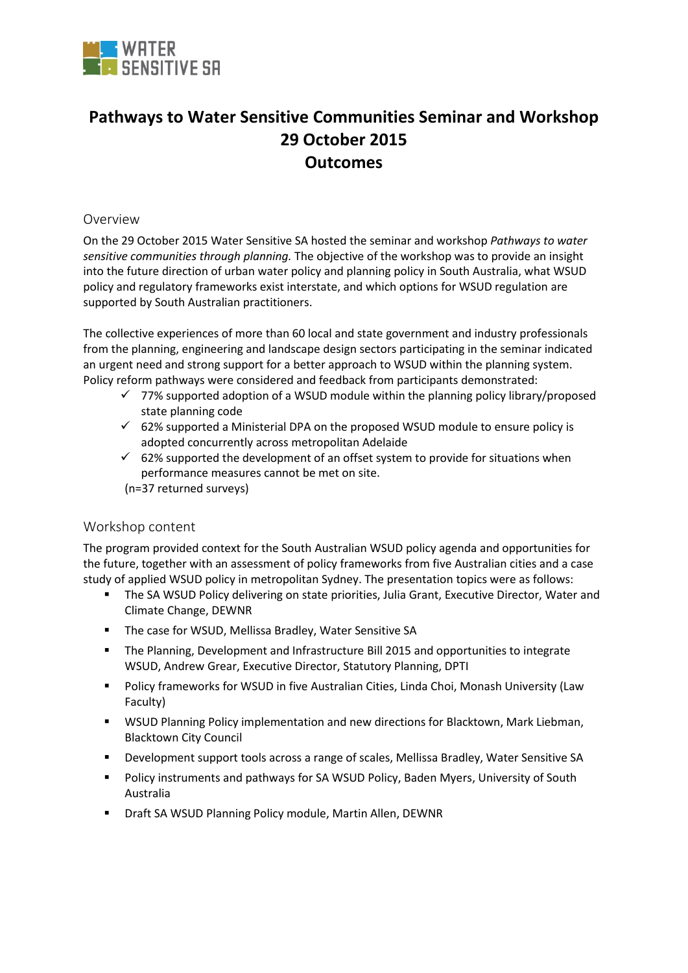

# **Pathways to Water Sensitive Communities Seminar and Workshop 29 October 2015 Outcomes**

## Overview

On the 29 October 2015 Water Sensitive SA hosted the seminar and workshop *Pathways to water sensitive communities through planning.* The objective of the workshop was to provide an insight into the future direction of urban water policy and planning policy in South Australia, what WSUD policy and regulatory frameworks exist interstate, and which options for WSUD regulation are supported by South Australian practitioners.

The collective experiences of more than 60 local and state government and industry professionals from the planning, engineering and landscape design sectors participating in the seminar indicated an urgent need and strong support for a better approach to WSUD within the planning system. Policy reform pathways were considered and feedback from participants demonstrated:

- $\checkmark$  77% supported adoption of a WSUD module within the planning policy library/proposed state planning code
- $62\%$  supported a Ministerial DPA on the proposed WSUD module to ensure policy is adopted concurrently across metropolitan Adelaide
- $62\%$  supported the development of an offset system to provide for situations when performance measures cannot be met on site.

(n=37 returned surveys)

# Workshop content

The program provided context for the South Australian WSUD policy agenda and opportunities for the future, together with an assessment of policy frameworks from five Australian cities and a case study of applied WSUD policy in metropolitan Sydney. The presentation topics were as follows:

- The SA WSUD Policy delivering on state priorities, Julia Grant, Executive Director, Water and Climate Change, DEWNR
- **The case for WSUD, Mellissa Bradley, Water Sensitive SA**
- The Planning, Development and Infrastructure Bill 2015 and opportunities to integrate WSUD, Andrew Grear, Executive Director, Statutory Planning, DPTI
- Policy frameworks for WSUD in five Australian Cities, Linda Choi, Monash University (Law Faculty)
- WSUD Planning Policy implementation and new directions for Blacktown, Mark Liebman, Blacktown City Council
- Development support tools across a range of scales, Mellissa Bradley, Water Sensitive SA
- Policy instruments and pathways for SA WSUD Policy, Baden Myers, University of South Australia
- Draft SA WSUD Planning Policy module, Martin Allen, DEWNR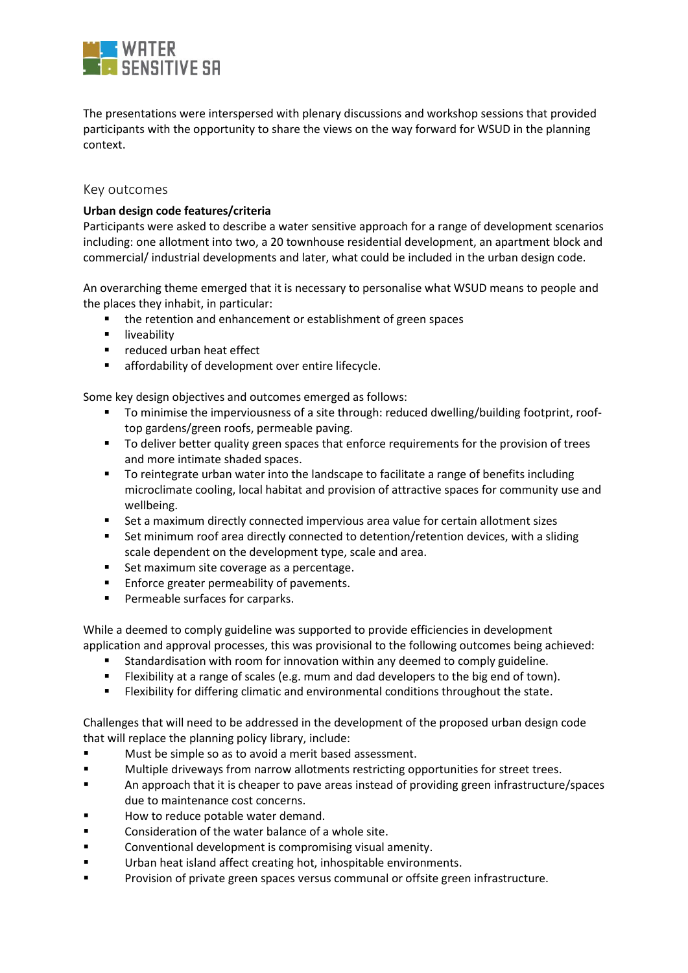

The presentations were interspersed with plenary discussions and workshop sessions that provided participants with the opportunity to share the views on the way forward for WSUD in the planning context.

## Key outcomes

## **Urban design code features/criteria**

Participants were asked to describe a water sensitive approach for a range of development scenarios including: one allotment into two, a 20 townhouse residential development, an apartment block and commercial/ industrial developments and later, what could be included in the urban design code.

An overarching theme emerged that it is necessary to personalise what WSUD means to people and the places they inhabit, in particular:

- **the retention and enhancement or establishment of green spaces**
- **I** liveability
- **F** reduced urban heat effect
- **EXECUTE:** affordability of development over entire lifecycle.

Some key design objectives and outcomes emerged as follows:

- To minimise the imperviousness of a site through: reduced dwelling/building footprint, rooftop gardens/green roofs, permeable paving.
- To deliver better quality green spaces that enforce requirements for the provision of trees and more intimate shaded spaces.
- To reintegrate urban water into the landscape to facilitate a range of benefits including microclimate cooling, local habitat and provision of attractive spaces for community use and wellbeing.
- Set a maximum directly connected impervious area value for certain allotment sizes
- Set minimum roof area directly connected to detention/retention devices, with a sliding scale dependent on the development type, scale and area.
- Set maximum site coverage as a percentage.
- **Enforce greater permeability of pavements.**
- **Permeable surfaces for carparks.**

While a deemed to comply guideline was supported to provide efficiencies in development application and approval processes, this was provisional to the following outcomes being achieved:

- Standardisation with room for innovation within any deemed to comply guideline.
- Flexibility at a range of scales (e.g. mum and dad developers to the big end of town).
- **FILE FIGURE 1** Flexibility for differing climatic and environmental conditions throughout the state.

Challenges that will need to be addressed in the development of the proposed urban design code that will replace the planning policy library, include:

- **Must be simple so as to avoid a merit based assessment.**
- Multiple driveways from narrow allotments restricting opportunities for street trees.
- An approach that it is cheaper to pave areas instead of providing green infrastructure/spaces due to maintenance cost concerns.
- How to reduce potable water demand.
- Consideration of the water balance of a whole site.
- Conventional development is compromising visual amenity.
- **Urban heat island affect creating hot, inhospitable environments.**
- Provision of private green spaces versus communal or offsite green infrastructure.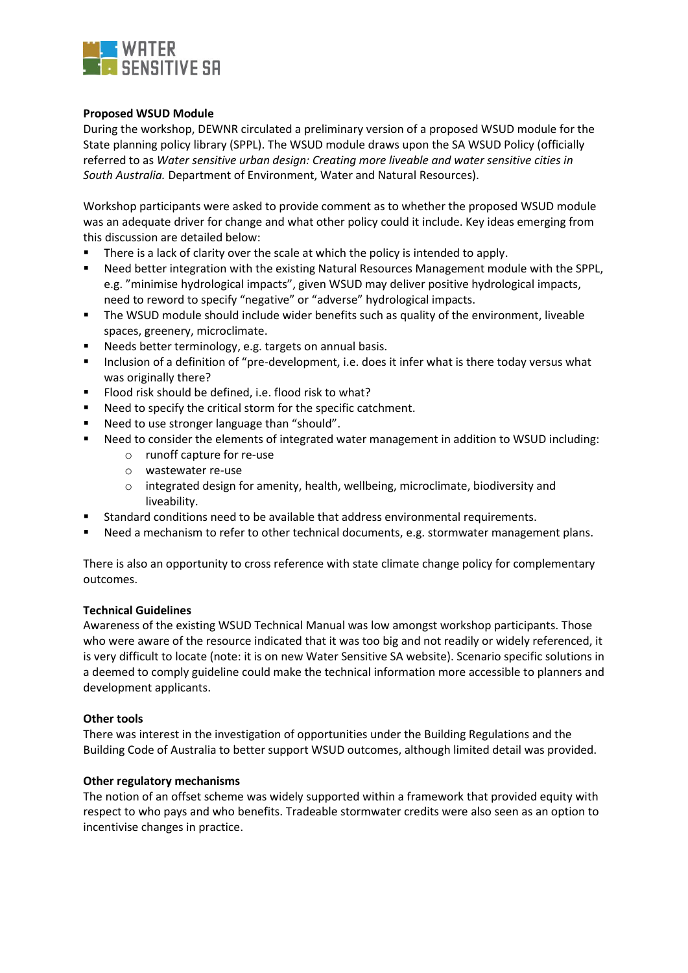

## **Proposed WSUD Module**

During the workshop, DEWNR circulated a preliminary version of a proposed WSUD module for the State planning policy library (SPPL). The WSUD module draws upon the SA WSUD Policy (officially referred to as *Water sensitive urban design: Creating more liveable and water sensitive cities in South Australia.* Department of Environment, Water and Natural Resources).

Workshop participants were asked to provide comment as to whether the proposed WSUD module was an adequate driver for change and what other policy could it include. Key ideas emerging from this discussion are detailed below:

- There is a lack of clarity over the scale at which the policy is intended to apply.
- Need better integration with the existing Natural Resources Management module with the SPPL, e.g. "minimise hydrological impacts", given WSUD may deliver positive hydrological impacts, need to reword to specify "negative" or "adverse" hydrological impacts.
- The WSUD module should include wider benefits such as quality of the environment, liveable spaces, greenery, microclimate.
- **Needs better terminology, e.g. targets on annual basis.**
- **Inclusion of a definition of "pre-development, i.e. does it infer what is there today versus what** was originally there?
- Flood risk should be defined, i.e. flood risk to what?
- Need to specify the critical storm for the specific catchment.
- Need to use stronger language than "should".
- Need to consider the elements of integrated water management in addition to WSUD including:
	- o runoff capture for re-use
	- o wastewater re-use
	- o integrated design for amenity, health, wellbeing, microclimate, biodiversity and liveability.
- Standard conditions need to be available that address environmental requirements.
- Need a mechanism to refer to other technical documents, e.g. stormwater management plans.

There is also an opportunity to cross reference with state climate change policy for complementary outcomes.

#### **Technical Guidelines**

Awareness of the existing WSUD Technical Manual was low amongst workshop participants. Those who were aware of the resource indicated that it was too big and not readily or widely referenced, it is very difficult to locate (note: it is on new Water Sensitive SA website). Scenario specific solutions in a deemed to comply guideline could make the technical information more accessible to planners and development applicants.

#### **Other tools**

There was interest in the investigation of opportunities under the Building Regulations and the Building Code of Australia to better support WSUD outcomes, although limited detail was provided.

#### **Other regulatory mechanisms**

The notion of an offset scheme was widely supported within a framework that provided equity with respect to who pays and who benefits. Tradeable stormwater credits were also seen as an option to incentivise changes in practice.